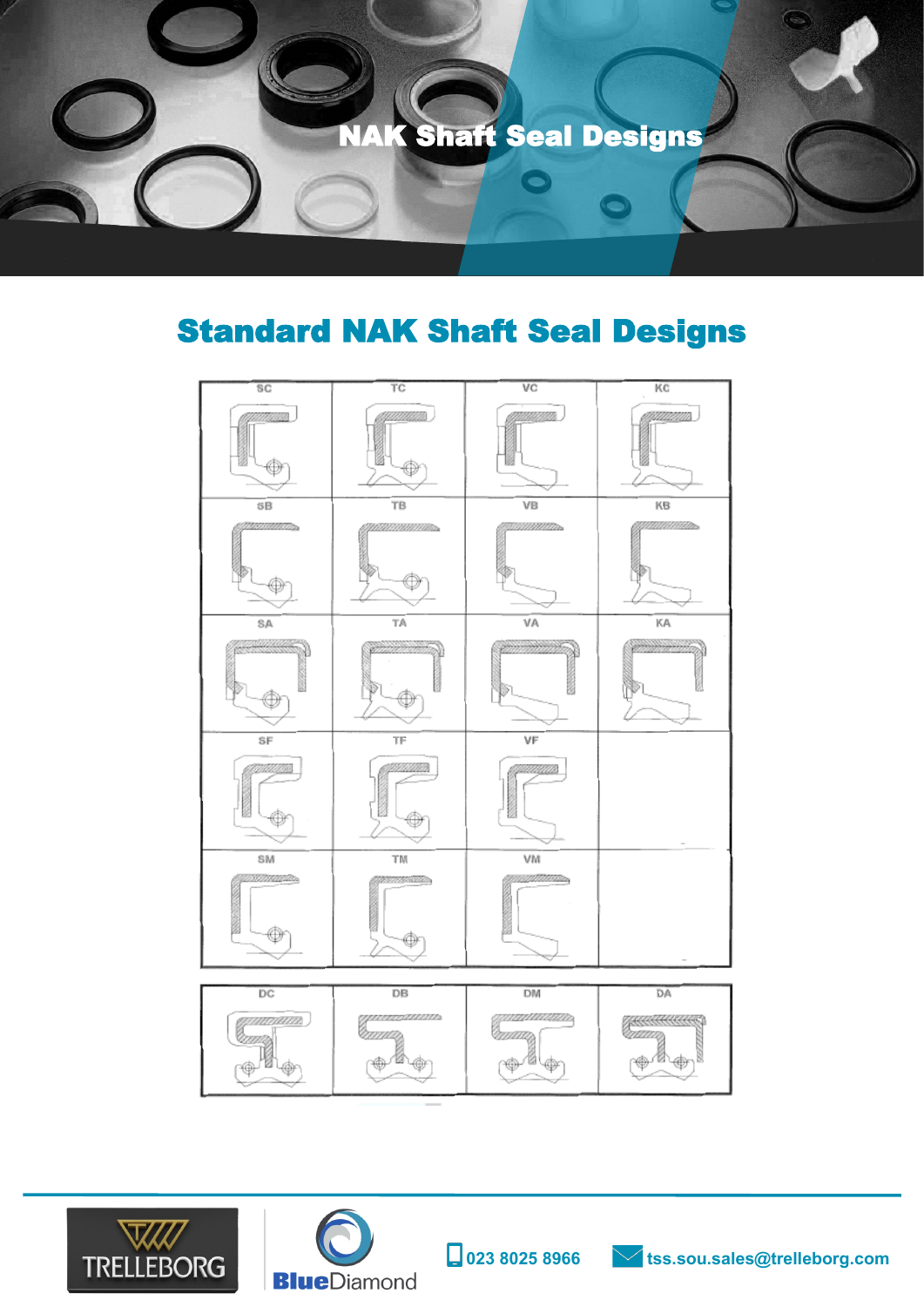

## Standard NAK Shaft Seal Designs